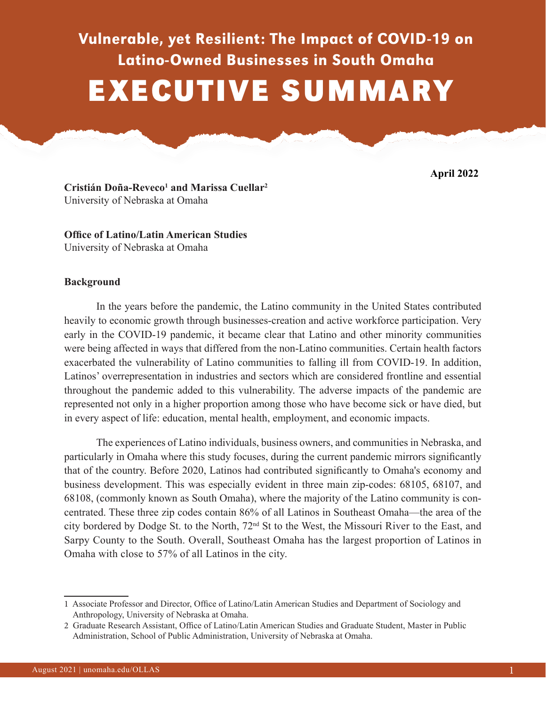# Vulnerable, yet Resilient: The Impact of COVID-19 on Latino-Owned Businesses in South Omaha EXECUTIVE SUMMARY

**April 2022**

**Cristián Doña-Reveco1 and Marissa Cuellar2** University of Nebraska at Omaha

**Office of Latino/Latin American Studies** University of Nebraska at Omaha

### **Background**

In the years before the pandemic, the Latino community in the United States contributed heavily to economic growth through businesses-creation and active workforce participation. Very early in the COVID-19 pandemic, it became clear that Latino and other minority communities were being affected in ways that differed from the non-Latino communities. Certain health factors exacerbated the vulnerability of Latino communities to falling ill from COVID-19. In addition, Latinos' overrepresentation in industries and sectors which are considered frontline and essential throughout the pandemic added to this vulnerability. The adverse impacts of the pandemic are represented not only in a higher proportion among those who have become sick or have died, but in every aspect of life: education, mental health, employment, and economic impacts.

The experiences of Latino individuals, business owners, and communities in Nebraska, and particularly in Omaha where this study focuses, during the current pandemic mirrors significantly that of the country. Before 2020, Latinos had contributed significantly to Omaha's economy and business development. This was especially evident in three main zip-codes: 68105, 68107, and 68108, (commonly known as South Omaha), where the majority of the Latino community is concentrated. These three zip codes contain 86% of all Latinos in Southeast Omaha—the area of the city bordered by Dodge St. to the North, 72nd St to the West, the Missouri River to the East, and Sarpy County to the South. Overall, Southeast Omaha has the largest proportion of Latinos in Omaha with close to 57% of all Latinos in the city.

<sup>1</sup> Associate Professor and Director, Office of Latino/Latin American Studies and Department of Sociology and Anthropology, University of Nebraska at Omaha.

<sup>2</sup> Graduate Research Assistant, Office of Latino/Latin American Studies and Graduate Student, Master in Public Administration, School of Public Administration, University of Nebraska at Omaha.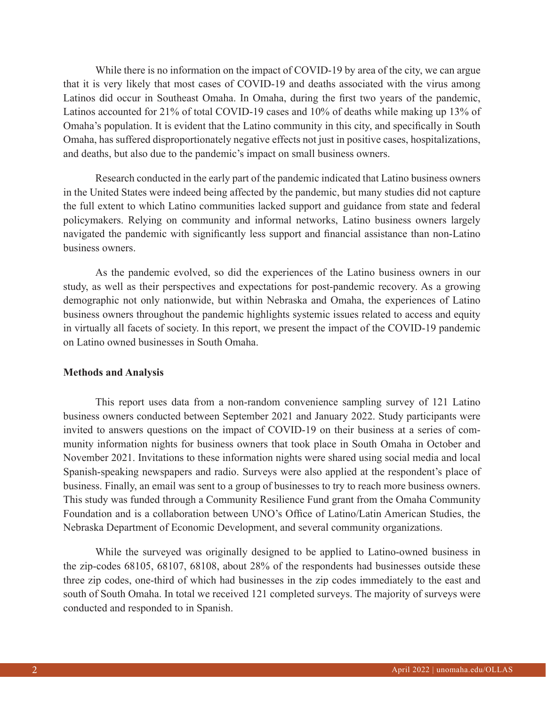While there is no information on the impact of COVID-19 by area of the city, we can argue that it is very likely that most cases of COVID-19 and deaths associated with the virus among Latinos did occur in Southeast Omaha. In Omaha, during the first two years of the pandemic, Latinos accounted for 21% of total COVID-19 cases and 10% of deaths while making up 13% of Omaha's population. It is evident that the Latino community in this city, and specifically in South Omaha, has suffered disproportionately negative effects not just in positive cases, hospitalizations, and deaths, but also due to the pandemic's impact on small business owners.

Research conducted in the early part of the pandemic indicated that Latino business owners in the United States were indeed being affected by the pandemic, but many studies did not capture the full extent to which Latino communities lacked support and guidance from state and federal policymakers. Relying on community and informal networks, Latino business owners largely navigated the pandemic with significantly less support and financial assistance than non-Latino business owners.

As the pandemic evolved, so did the experiences of the Latino business owners in our study, as well as their perspectives and expectations for post-pandemic recovery. As a growing demographic not only nationwide, but within Nebraska and Omaha, the experiences of Latino business owners throughout the pandemic highlights systemic issues related to access and equity in virtually all facets of society. In this report, we present the impact of the COVID-19 pandemic on Latino owned businesses in South Omaha.

#### **Methods and Analysis**

This report uses data from a non-random convenience sampling survey of 121 Latino business owners conducted between September 2021 and January 2022. Study participants were invited to answers questions on the impact of COVID-19 on their business at a series of community information nights for business owners that took place in South Omaha in October and November 2021. Invitations to these information nights were shared using social media and local Spanish-speaking newspapers and radio. Surveys were also applied at the respondent's place of business. Finally, an email was sent to a group of businesses to try to reach more business owners. This study was funded through a Community Resilience Fund grant from the Omaha Community Foundation and is a collaboration between UNO's Office of Latino/Latin American Studies, the Nebraska Department of Economic Development, and several community organizations.

While the surveyed was originally designed to be applied to Latino-owned business in the zip-codes 68105, 68107, 68108, about 28% of the respondents had businesses outside these three zip codes, one-third of which had businesses in the zip codes immediately to the east and south of South Omaha. In total we received 121 completed surveys. The majority of surveys were conducted and responded to in Spanish.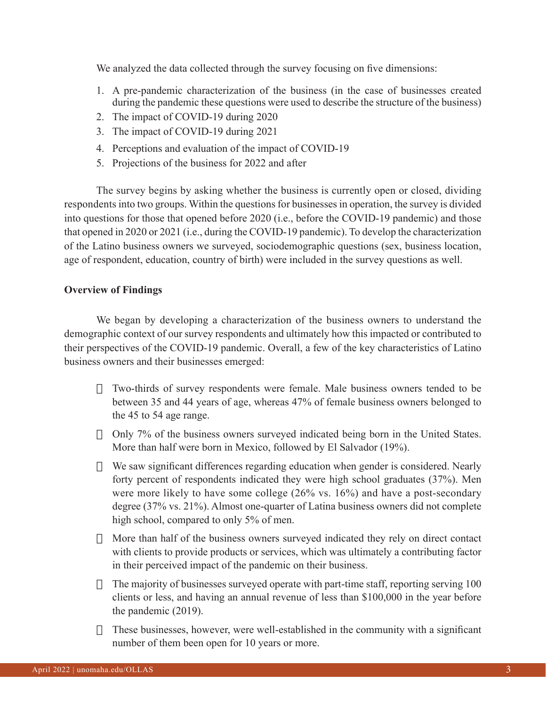We analyzed the data collected through the survey focusing on five dimensions:

- 1. A pre-pandemic characterization of the business (in the case of businesses created during the pandemic these questions were used to describe the structure of the business)
- 2. The impact of COVID-19 during 2020
- 3. The impact of COVID-19 during 2021
- 4. Perceptions and evaluation of the impact of COVID-19
- 5. Projections of the business for 2022 and after

The survey begins by asking whether the business is currently open or closed, dividing respondents into two groups. Within the questions for businesses in operation, the survey is divided into questions for those that opened before 2020 (i.e., before the COVID-19 pandemic) and those that opened in 2020 or 2021 (i.e., during the COVID-19 pandemic). To develop the characterization of the Latino business owners we surveyed, sociodemographic questions (sex, business location, age of respondent, education, country of birth) were included in the survey questions as well.

## **Overview of Findings**

We began by developing a characterization of the business owners to understand the demographic context of our survey respondents and ultimately how this impacted or contributed to their perspectives of the COVID-19 pandemic. Overall, a few of the key characteristics of Latino business owners and their businesses emerged:

- $\Box$  Two-thirds of survey respondents were female. Male business owners tended to be between 35 and 44 years of age, whereas 47% of female business owners belonged to the 45 to 54 age range.
- $\Box$  Only 7% of the business owners surveyed indicated being born in the United States. More than half were born in Mexico, followed by El Salvador (19%).
- $\Box$  We saw significant differences regarding education when gender is considered. Nearly forty percent of respondents indicated they were high school graduates (37%). Men were more likely to have some college (26% vs. 16%) and have a post-secondary degree (37% vs. 21%). Almost one-quarter of Latina business owners did not complete high school, compared to only 5% of men.
- $\Box$  More than half of the business owners surveyed indicated they rely on direct contact with clients to provide products or services, which was ultimately a contributing factor in their perceived impact of the pandemic on their business.
- $\Box$  The majority of businesses surveyed operate with part-time staff, reporting serving 100 clients or less, and having an annual revenue of less than \$100,000 in the year before the pandemic (2019).
- $\Box$  These businesses, however, were well-established in the community with a significant number of them been open for 10 years or more.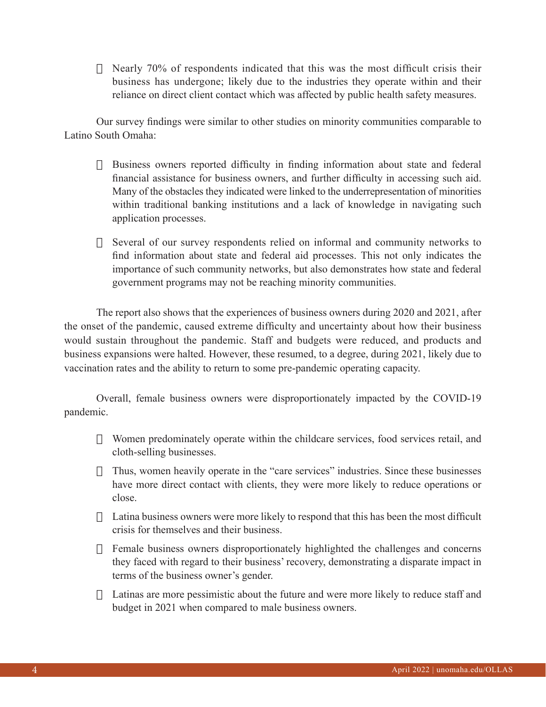$\Box$  Nearly 70% of respondents indicated that this was the most difficult crisis their business has undergone; likely due to the industries they operate within and their reliance on direct client contact which was affected by public health safety measures.

Our survey findings were similar to other studies on minority communities comparable to Latino South Omaha:

- $\Box$  Business owners reported difficulty in finding information about state and federal financial assistance for business owners, and further difficulty in accessing such aid. Many of the obstacles they indicated were linked to the underrepresentation of minorities within traditional banking institutions and a lack of knowledge in navigating such application processes.
- $\Box$  Several of our survey respondents relied on informal and community networks to find information about state and federal aid processes. This not only indicates the importance of such community networks, but also demonstrates how state and federal government programs may not be reaching minority communities.

The report also shows that the experiences of business owners during 2020 and 2021, after the onset of the pandemic, caused extreme difficulty and uncertainty about how their business would sustain throughout the pandemic. Staff and budgets were reduced, and products and business expansions were halted. However, these resumed, to a degree, during 2021, likely due to vaccination rates and the ability to return to some pre-pandemic operating capacity.

Overall, female business owners were disproportionately impacted by the COVID-19 pandemic.

- $\Box$  Women predominately operate within the childcare services, food services retail, and cloth-selling businesses.
- $\Box$  Thus, women heavily operate in the "care services" industries. Since these businesses have more direct contact with clients, they were more likely to reduce operations or close.
- $\Box$  Latina business owners were more likely to respond that this has been the most difficult crisis for themselves and their business.
- $\Box$  Female business owners disproportionately highlighted the challenges and concerns they faced with regard to their business' recovery, demonstrating a disparate impact in terms of the business owner's gender.
- $\Box$  Latinas are more pessimistic about the future and were more likely to reduce staff and budget in 2021 when compared to male business owners.